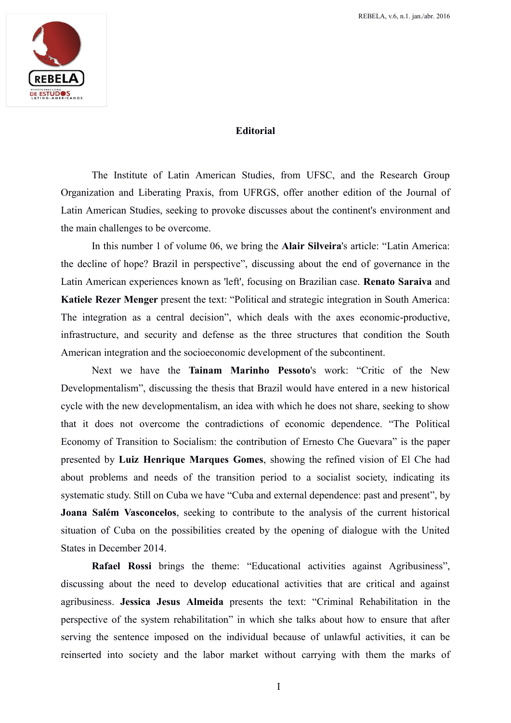

## **Editorial**

The Institute of Latin American Studies, from UFSC, and the Research Group Organization and Liberating Praxis, from UFRGS, offer another edition of the Journal of Latin American Studies, seeking to provoke discusses about the continent's environment and the main challenges to be overcome.

In this number 1 of volume 06, we bring the **Alair Silveira**'s article: "Latin America: the decline of hope? Brazil in perspective", discussing about the end of governance in the Latin American experiences known as 'left', focusing on Brazilian case. **Renato Saraiva** and **Katiele Rezer Menger** present the text: "Political and strategic integration in South America: The integration as a central decision", which deals with the axes economic-productive, infrastructure, and security and defense as the three structures that condition the South American integration and the socioeconomic development of the subcontinent.

Next we have the **Tainam Marinho Pessoto**'s work: "Critic of the New Developmentalism", discussing the thesis that Brazil would have entered in a new historical cycle with the new developmentalism, an idea with which he does not share, seeking to show that it does not overcome the contradictions of economic dependence. "The Political Economy of Transition to Socialism: the contribution of Ernesto Che Guevara" is the paper presented by **Luiz Henrique Marques Gomes**, showing the refined vision of El Che had about problems and needs of the transition period to a socialist society, indicating its systematic study. Still on Cuba we have "Cuba and external dependence: past and present", by **Joana Salém Vasconcelos**, seeking to contribute to the analysis of the current historical situation of Cuba on the possibilities created by the opening of dialogue with the United States in December 2014.

**Rafael Rossi** brings the theme: "Educational activities against Agribusiness", discussing about the need to develop educational activities that are critical and against agribusiness. **Jessica Jesus Almeida** presents the text: "Criminal Rehabilitation in the perspective of the system rehabilitation" in which she talks about how to ensure that after serving the sentence imposed on the individual because of unlawful activities, it can be reinserted into society and the labor market without carrying with them the marks of

I